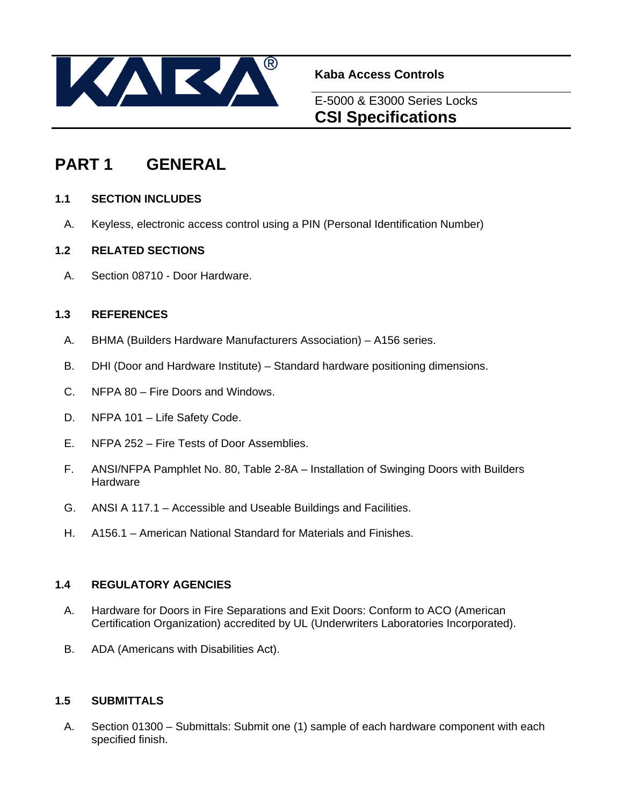

**Kaba Access Controls** 

E-5000 & E3000 Series Locks **CSI Specifications**

# **PART 1 GENERAL**

## **1.1 SECTION INCLUDES**

A. Keyless, electronic access control using a PIN (Personal Identification Number)

## **1.2 RELATED SECTIONS**

A. Section 08710 - Door Hardware.

### **1.3 REFERENCES**

- A. BHMA (Builders Hardware Manufacturers Association) A156 series.
- B. DHI (Door and Hardware Institute) Standard hardware positioning dimensions.
- C. NFPA 80 Fire Doors and Windows.
- D. NFPA 101 Life Safety Code.
- E. NFPA 252 Fire Tests of Door Assemblies.
- F. ANSI/NFPA Pamphlet No. 80, Table 2-8A Installation of Swinging Doors with Builders **Hardware**
- G. ANSI A 117.1 Accessible and Useable Buildings and Facilities.
- H. A156.1 American National Standard for Materials and Finishes.

## **1.4 REGULATORY AGENCIES**

- A. Hardware for Doors in Fire Separations and Exit Doors: Conform to ACO (American Certification Organization) accredited by UL (Underwriters Laboratories Incorporated).
- B. ADA (Americans with Disabilities Act).

### **1.5 SUBMITTALS**

 A. Section 01300 – Submittals: Submit one (1) sample of each hardware component with each specified finish.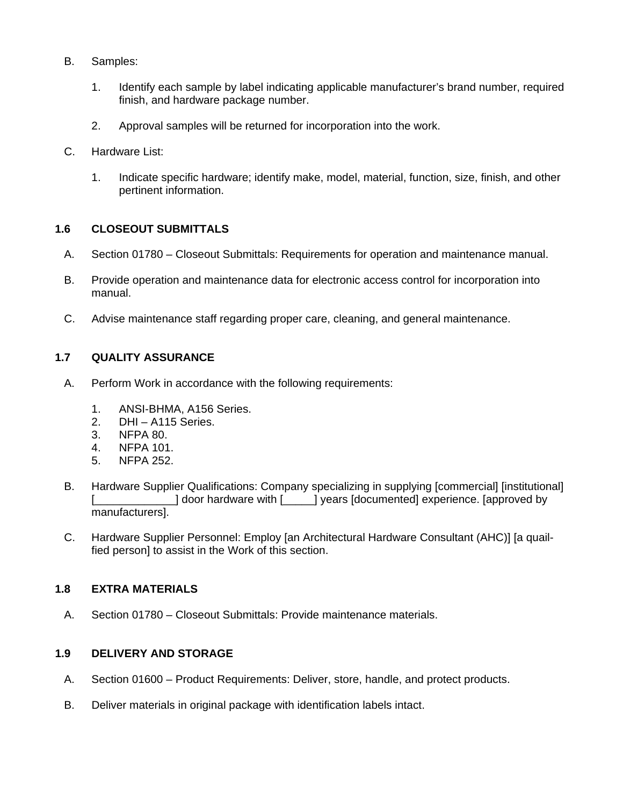- B. Samples:
	- 1. Identify each sample by label indicating applicable manufacturer's brand number, required finish, and hardware package number.
	- 2. Approval samples will be returned for incorporation into the work.
- C. Hardware List:
	- 1. Indicate specific hardware; identify make, model, material, function, size, finish, and other pertinent information.

## **1.6 CLOSEOUT SUBMITTALS**

- A. Section 01780 Closeout Submittals: Requirements for operation and maintenance manual.
- B. Provide operation and maintenance data for electronic access control for incorporation into manual.
- C. Advise maintenance staff regarding proper care, cleaning, and general maintenance.

## **1.7 QUALITY ASSURANCE**

- A. Perform Work in accordance with the following requirements:
	- 1. ANSI-BHMA, A156 Series.
	- 2. DHI A115 Series.
	- 3. NFPA 80.
	- 4. NFPA 101.
	- 5. NFPA 252.
- B. Hardware Supplier Qualifications: Company specializing in supplying [commercial] [institutional] [\_\_\_\_\_\_\_\_\_\_\_\_\_] door hardware with [\_\_\_\_\_] years [documented] experience. [approved by manufacturers].
- C. Hardware Supplier Personnel: Employ [an Architectural Hardware Consultant (AHC)] [a quailfied person] to assist in the Work of this section.

### **1.8 EXTRA MATERIALS**

A. Section 01780 – Closeout Submittals: Provide maintenance materials.

# **1.9 DELIVERY AND STORAGE**

- A. Section 01600 Product Requirements: Deliver, store, handle, and protect products.
- B. Deliver materials in original package with identification labels intact.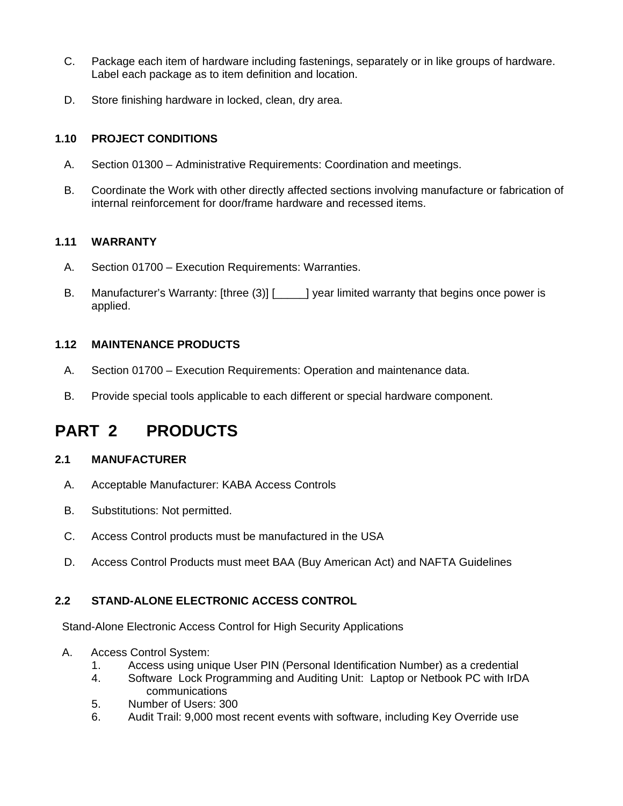- C. Package each item of hardware including fastenings, separately or in like groups of hardware. Label each package as to item definition and location.
- D. Store finishing hardware in locked, clean, dry area.

## **1.10 PROJECT CONDITIONS**

- A. Section 01300 Administrative Requirements: Coordination and meetings.
- B. Coordinate the Work with other directly affected sections involving manufacture or fabrication of internal reinforcement for door/frame hardware and recessed items.

### **1.11 WARRANTY**

- A. Section 01700 Execution Requirements: Warranties.
- B. Manufacturer's Warranty: [three (3)] [\_\_\_\_] year limited warranty that begins once power is applied.

## **1.12 MAINTENANCE PRODUCTS**

- A. Section 01700 Execution Requirements: Operation and maintenance data.
- B. Provide special tools applicable to each different or special hardware component.

# **PART 2 PRODUCTS**

# **2.1 MANUFACTURER**

- A. Acceptable Manufacturer: KABA Access Controls
- B. Substitutions: Not permitted.
- C. Access Control products must be manufactured in the USA
- D. Access Control Products must meet BAA (Buy American Act) and NAFTA Guidelines

# **2.2 STAND-ALONE ELECTRONIC ACCESS CONTROL**

Stand-Alone Electronic Access Control for High Security Applications

- A. Access Control System:
	- 1. Access using unique User PIN (Personal Identification Number) as a credential
	- 4. Software Lock Programming and Auditing Unit: Laptop or Netbook PC with IrDA communications
	- 5. Number of Users: 300
	- 6. Audit Trail: 9,000 most recent events with software, including Key Override use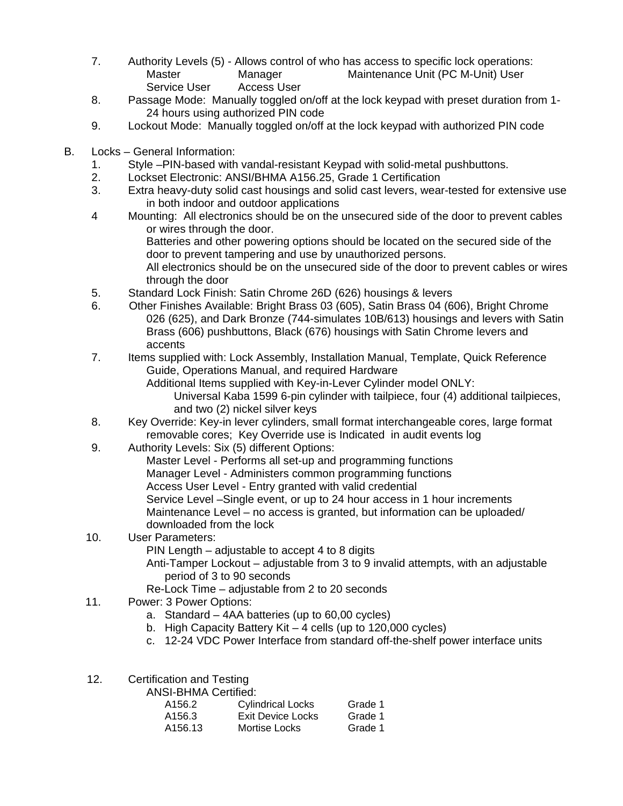- 7. Authority Levels (5) Allows control of who has access to specific lock operations: Master Manager Maintenance Unit (PC M-Unit) User Service User Access User
- 8. Passage Mode: Manually toggled on/off at the lock keypad with preset duration from 1- 24 hours using authorized PIN code
- 9. Lockout Mode: Manually toggled on/off at the lock keypad with authorized PIN code
- B. Locks General Information:
	- 1. Style –PIN-based with vandal-resistant Keypad with solid-metal pushbuttons.
	- 2. Lockset Electronic: ANSI/BHMA A156.25, Grade 1 Certification
	- 3. Extra heavy-duty solid cast housings and solid cast levers, wear-tested for extensive use in both indoor and outdoor applications
	- 4 Mounting: All electronics should be on the unsecured side of the door to prevent cables or wires through the door.

 Batteries and other powering options should be located on the secured side of the door to prevent tampering and use by unauthorized persons.

 All electronics should be on the unsecured side of the door to prevent cables or wires through the door

- 5. Standard Lock Finish: Satin Chrome 26D (626) housings & levers
- 6. Other Finishes Available: Bright Brass 03 (605), Satin Brass 04 (606), Bright Chrome 026 (625), and Dark Bronze (744-simulates 10B/613) housings and levers with Satin Brass (606) pushbuttons, Black (676) housings with Satin Chrome levers and accents
- 7. Items supplied with: Lock Assembly, Installation Manual, Template, Quick Reference Guide, Operations Manual, and required Hardware

 Additional Items supplied with Key-in-Lever Cylinder model ONLY: Universal Kaba 1599 6-pin cylinder with tailpiece, four (4) additional tailpieces, and two (2) nickel silver keys

- 8. Key Override: Key-in lever cylinders, small format interchangeable cores, large format removable cores; Key Override use is Indicated in audit events log
- 9. Authority Levels: Six (5) different Options:
- Master Level Performs all set-up and programming functions Manager Level - Administers common programming functions Access User Level - Entry granted with valid credential Service Level –Single event, or up to 24 hour access in 1 hour increments Maintenance Level – no access is granted, but information can be uploaded/ downloaded from the lock
- 10. User Parameters: PIN Length – adjustable to accept 4 to 8 digits Anti-Tamper Lockout – adjustable from 3 to 9 invalid attempts, with an adjustable period of 3 to 90 seconds
	- Re-Lock Time adjustable from 2 to 20 seconds
- 11. Power: 3 Power Options:
	- a. Standard 4AA batteries (up to 60,00 cycles)
	- b. High Capacity Battery Kit 4 cells (up to 120,000 cycles)
	- c. 12-24 VDC Power Interface from standard off-the-shelf power interface units
- 12. Certification and Testing

ANSI-BHMA Certified:

| A156.2  | <b>Cylindrical Locks</b> | Grade 1 |
|---------|--------------------------|---------|
| A156.3  | Exit Device Locks        | Grade 1 |
| A156.13 | Mortise Locks            | Grade 1 |
|         |                          |         |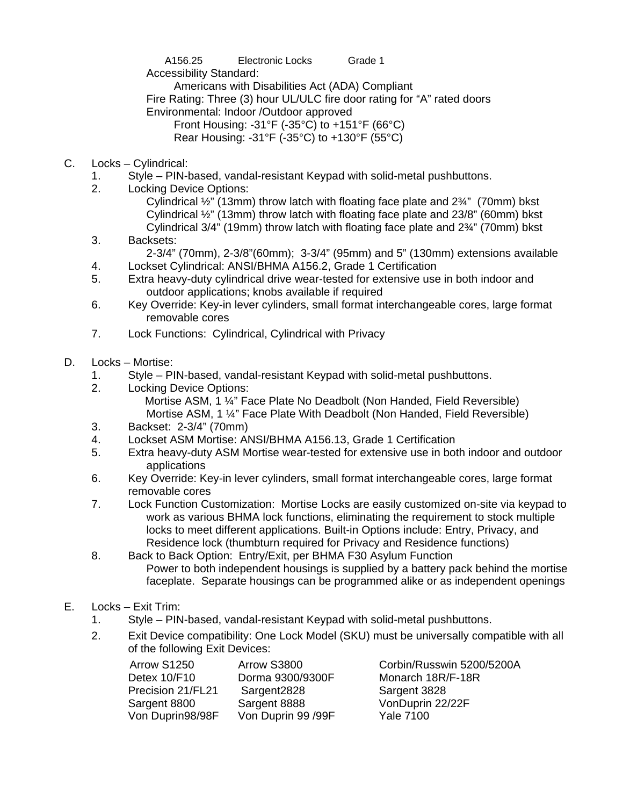A156.25 Electronic Locks Grade 1

Accessibility Standard:

Americans with Disabilities Act (ADA) Compliant

Fire Rating: Three (3) hour UL/ULC fire door rating for "A" rated doors

Environmental: Indoor /Outdoor approved

Front Housing: -31°F (-35°C) to +151°F (66°C)

Rear Housing: -31°F (-35°C) to +130°F (55°C)

- C. Locks Cylindrical:
	- 1. Style PIN-based, vandal-resistant Keypad with solid-metal pushbuttons.
	- 2. Locking Device Options:

Cylindrical ½" (13mm) throw latch with floating face plate and 2¾" (70mm) bkst Cylindrical ½" (13mm) throw latch with floating face plate and 23/8" (60mm) bkst Cylindrical 3/4" (19mm) throw latch with floating face plate and 2¾" (70mm) bkst

- 3. Backsets: 2-3/4" (70mm), 2-3/8"(60mm); 3-3/4" (95mm) and 5" (130mm) extensions available
- 4. Lockset Cylindrical: ANSI/BHMA A156.2, Grade 1 Certification
- 5. Extra heavy-duty cylindrical drive wear-tested for extensive use in both indoor and outdoor applications; knobs available if required
- 6. Key Override: Key-in lever cylinders, small format interchangeable cores, large format removable cores
- 7. Lock Functions: Cylindrical, Cylindrical with Privacy
- D. Locks Mortise:
	- 1. Style PIN-based, vandal-resistant Keypad with solid-metal pushbuttons.
	- 2. Locking Device Options:
		- Mortise ASM, 1 ¼" Face Plate No Deadbolt (Non Handed, Field Reversible) Mortise ASM, 1 ¼" Face Plate With Deadbolt (Non Handed, Field Reversible)
	- 3. Backset: 2-3/4" (70mm)
	- 4. Lockset ASM Mortise: ANSI/BHMA A156.13, Grade 1 Certification
	- 5. Extra heavy-duty ASM Mortise wear-tested for extensive use in both indoor and outdoor applications
	- 6. Key Override: Key-in lever cylinders, small format interchangeable cores, large format removable cores
	- 7. Lock Function Customization: Mortise Locks are easily customized on-site via keypad to work as various BHMA lock functions, eliminating the requirement to stock multiple locks to meet different applications. Built-in Options include: Entry, Privacy, and Residence lock (thumbturn required for Privacy and Residence functions)
	- 8. Back to Back Option: Entry/Exit, per BHMA F30 Asylum Function Power to both independent housings is supplied by a battery pack behind the mortise faceplate. Separate housings can be programmed alike or as independent openings
- E. Locks Exit Trim:
	- 1. Style PIN-based, vandal-resistant Keypad with solid-metal pushbuttons.
	- 2. Exit Device compatibility: One Lock Model (SKU) must be universally compatible with all of the following Exit Devices:

| Arrow S1250       | Arrow S3800        | Corbin/Rus       |
|-------------------|--------------------|------------------|
| Detex 10/F10      | Dorma 9300/9300F   | Monarch 1        |
| Precision 21/FL21 | Sargent2828        | Sargent 38       |
| Sargent 8800      | Sargent 8888       | VonDuprin        |
| Von Duprin98/98F  | Von Duprin 99 /99F | <b>Yale 7100</b> |
|                   |                    |                  |

bin/Russwin 5200/5200A arch 18R/F-18R 1ent 3828 Duprin 22/22F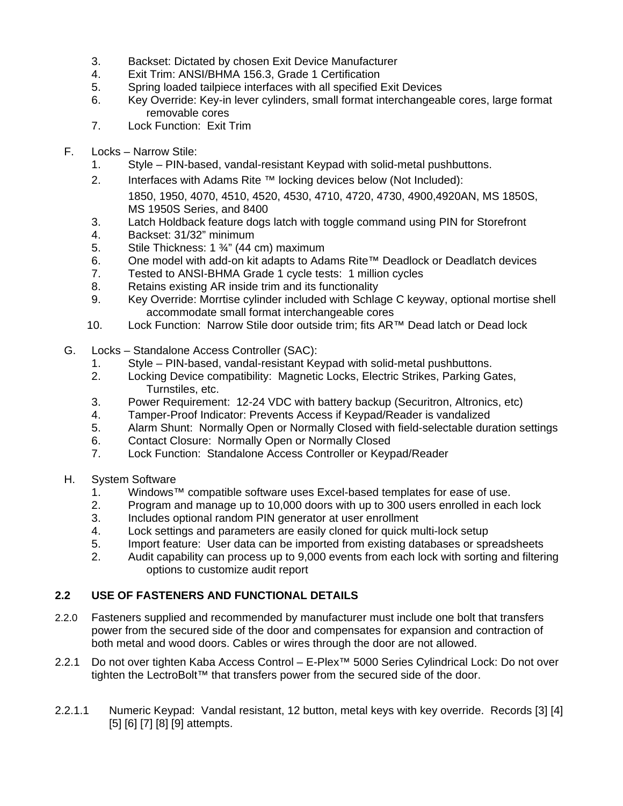- 3. Backset: Dictated by chosen Exit Device Manufacturer
- 4. Exit Trim: ANSI/BHMA 156.3, Grade 1 Certification
- 5. Spring loaded tailpiece interfaces with all specified Exit Devices
- 6. Key Override: Key-in lever cylinders, small format interchangeable cores, large format removable cores
- 7. Lock Function: Exit Trim
- F. Locks Narrow Stile:
	- 1. Style PIN-based, vandal-resistant Keypad with solid-metal pushbuttons.
	- 2. Interfaces with Adams Rite ™ locking devices below (Not Included): 1850, 1950, 4070, 4510, 4520, 4530, 4710, 4720, 4730, 4900,4920AN, MS 1850S, MS 1950S Series, and 8400
	- 3. Latch Holdback feature dogs latch with toggle command using PIN for Storefront
	- 4. Backset: 31/32" minimum
	- 5. Stile Thickness: 1 ¾" (44 cm) maximum
	- 6. One model with add-on kit adapts to Adams Rite™ Deadlock or Deadlatch devices
	- 7. Tested to ANSI-BHMA Grade 1 cycle tests: 1 million cycles
	- 8. Retains existing AR inside trim and its functionality
	- 9. Key Override: Morrtise cylinder included with Schlage C keyway, optional mortise shell accommodate small format interchangeable cores
	- 10. Lock Function: Narrow Stile door outside trim; fits AR™ Dead latch or Dead lock
- G. Locks Standalone Access Controller (SAC):
	- 1. Style PIN-based, vandal-resistant Keypad with solid-metal pushbuttons.
	- 2. Locking Device compatibility: Magnetic Locks, Electric Strikes, Parking Gates, Turnstiles, etc.
	- 3. Power Requirement: 12-24 VDC with battery backup (Securitron, Altronics, etc)
	- 4. Tamper-Proof Indicator: Prevents Access if Keypad/Reader is vandalized
	- 5. Alarm Shunt: Normally Open or Normally Closed with field-selectable duration settings
	- 6. Contact Closure: Normally Open or Normally Closed
	- 7. Lock Function: Standalone Access Controller or Keypad/Reader
- H. System Software
	- 1. Windows™ compatible software uses Excel-based templates for ease of use.
	- 2. Program and manage up to 10,000 doors with up to 300 users enrolled in each lock
	- 3. Includes optional random PIN generator at user enrollment
	- 4. Lock settings and parameters are easily cloned for quick multi-lock setup
	- 5. Import feature: User data can be imported from existing databases or spreadsheets
	- 2. Audit capability can process up to 9,000 events from each lock with sorting and filtering options to customize audit report

# **2.2 USE OF FASTENERS AND FUNCTIONAL DETAILS**

- 2.2.0 Fasteners supplied and recommended by manufacturer must include one bolt that transfers power from the secured side of the door and compensates for expansion and contraction of both metal and wood doors. Cables or wires through the door are not allowed.
- 2.2.1 Do not over tighten Kaba Access Control E-Plex™ 5000 Series Cylindrical Lock: Do not over tighten the LectroBolt™ that transfers power from the secured side of the door.
- 2.2.1.1 Numeric Keypad: Vandal resistant, 12 button, metal keys with key override. Records [3] [4] [5] [6] [7] [8] [9] attempts.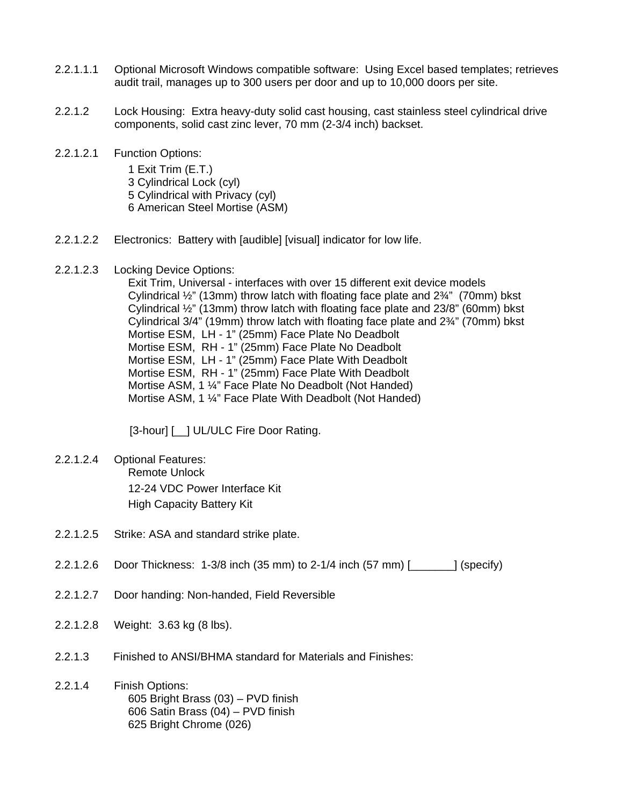- 2.2.1.1.1 Optional Microsoft Windows compatible software: Using Excel based templates; retrieves audit trail, manages up to 300 users per door and up to 10,000 doors per site.
- 2.2.1.2 Lock Housing: Extra heavy-duty solid cast housing, cast stainless steel cylindrical drive components, solid cast zinc lever, 70 mm (2-3/4 inch) backset.
- 2.2.1.2.1 Function Options: 1 Exit Trim (E.T.) 3 Cylindrical Lock (cyl) 5 Cylindrical with Privacy (cyl) 6 American Steel Mortise (ASM)
- 2.2.1.2.2 Electronics: Battery with [audible] [visual] indicator for low life.
- 2.2.1.2.3 Locking Device Options:

Exit Trim, Universal - interfaces with over 15 different exit device models Cylindrical ½" (13mm) throw latch with floating face plate and 2¾" (70mm) bkst Cylindrical ½" (13mm) throw latch with floating face plate and 23/8" (60mm) bkst Cylindrical 3/4" (19mm) throw latch with floating face plate and 2¾" (70mm) bkst Mortise ESM, LH - 1" (25mm) Face Plate No Deadbolt Mortise ESM, RH - 1" (25mm) Face Plate No Deadbolt Mortise ESM, LH - 1" (25mm) Face Plate With Deadbolt Mortise ESM, RH - 1" (25mm) Face Plate With Deadbolt Mortise ASM, 1 ¼" Face Plate No Deadbolt (Not Handed) Mortise ASM, 1 ¼" Face Plate With Deadbolt (Not Handed)

[3-hour] [\_\_] UL/ULC Fire Door Rating.

- 2.2.1.2.4 Optional Features: Remote Unlock 12-24 VDC Power Interface Kit High Capacity Battery Kit
- 2.2.1.2.5 Strike: ASA and standard strike plate.
- 2.2.1.2.6 Door Thickness: 1-3/8 inch (35 mm) to 2-1/4 inch (57 mm) [\_\_\_\_\_\_\_] (specify)
- 2.2.1.2.7 Door handing: Non-handed, Field Reversible
- 2.2.1.2.8 Weight: 3.63 kg (8 lbs).
- 2.2.1.3 Finished to ANSI/BHMA standard for Materials and Finishes:
- 2.2.1.4 Finish Options: 605 Bright Brass (03) – PVD finish 606 Satin Brass (04) – PVD finish 625 Bright Chrome (026)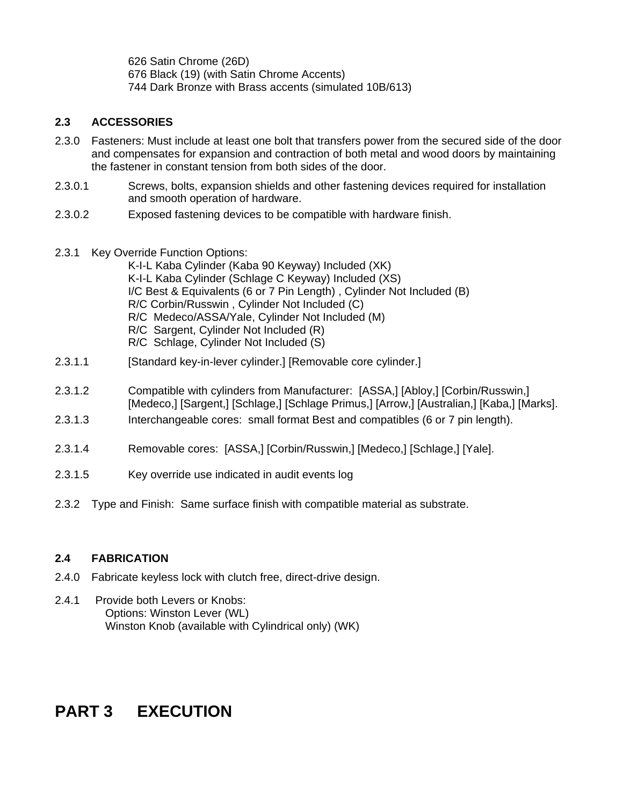626 Satin Chrome (26D) 676 Black (19) (with Satin Chrome Accents) 744 Dark Bronze with Brass accents (simulated 10B/613)

### **2.3 ACCESSORIES**

- 2.3.0 Fasteners: Must include at least one bolt that transfers power from the secured side of the door and compensates for expansion and contraction of both metal and wood doors by maintaining the fastener in constant tension from both sides of the door.
- 2.3.0.1 Screws, bolts, expansion shields and other fastening devices required for installation and smooth operation of hardware.
- 2.3.0.2 Exposed fastening devices to be compatible with hardware finish.
- 2.3.1 Key Override Function Options: K-I-L Kaba Cylinder (Kaba 90 Keyway) Included (XK) K-I-L Kaba Cylinder (Schlage C Keyway) Included (XS) I/C Best & Equivalents (6 or 7 Pin Length) , Cylinder Not Included (B) R/C Corbin/Russwin , Cylinder Not Included (C) R/C Medeco/ASSA/Yale, Cylinder Not Included (M) R/C Sargent, Cylinder Not Included (R) R/C Schlage, Cylinder Not Included (S)
- 2.3.1.1 [Standard key-in-lever cylinder.] [Removable core cylinder.]
- 2.3.1.2 Compatible with cylinders from Manufacturer: [ASSA,] [Abloy,] [Corbin/Russwin,] [Medeco,] [Sargent,] [Schlage,] [Schlage Primus,] [Arrow,] [Australian,] [Kaba,] [Marks].
- 2.3.1.3 Interchangeable cores: small format Best and compatibles (6 or 7 pin length).
- 2.3.1.4 Removable cores: [ASSA,] [Corbin/Russwin,] [Medeco,] [Schlage,] [Yale].
- 2.3.1.5 Key override use indicated in audit events log
- 2.3.2 Type and Finish: Same surface finish with compatible material as substrate.

### **2.4 FABRICATION**

- 2.4.0 Fabricate keyless lock with clutch free, direct-drive design.
- 2.4.1 Provide both Levers or Knobs: Options: Winston Lever (WL) Winston Knob (available with Cylindrical only) (WK)

# **PART 3 EXECUTION**